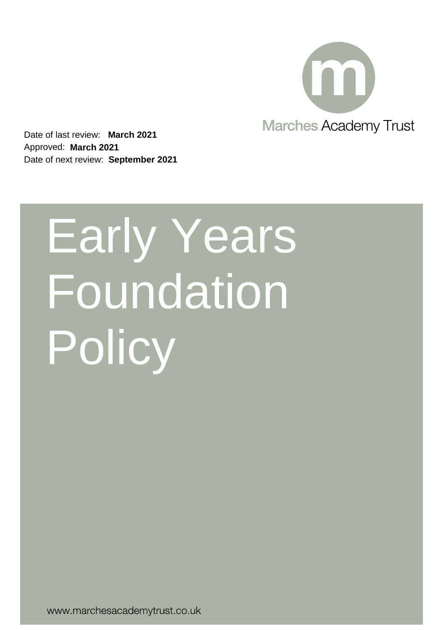

Date of last review: **March 2021** Approved: **March 2021** Date of next review: **September 2021**

# Early Years **Foundation Policy**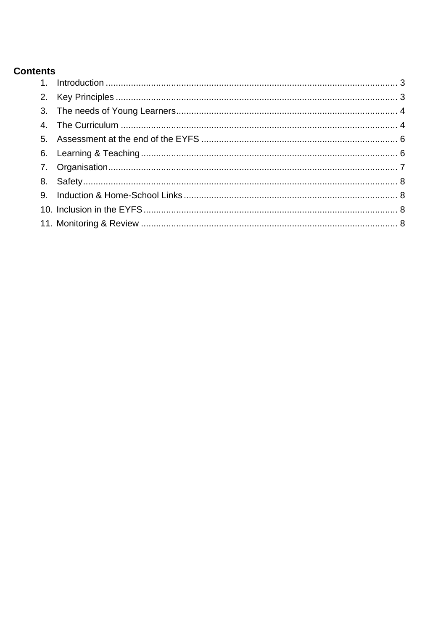# **Contents**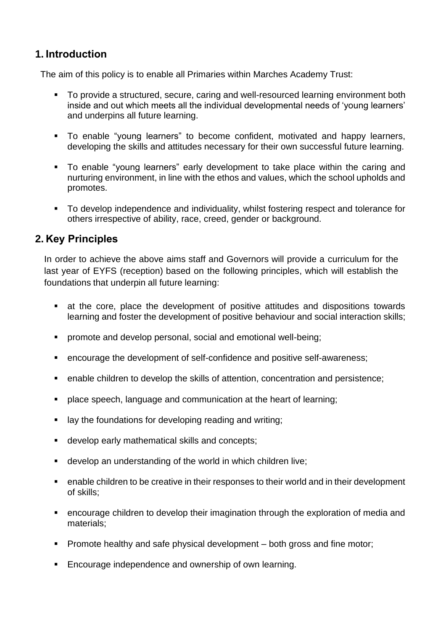# <span id="page-2-0"></span>**1. Introduction**

The aim of this policy is to enable all Primaries within Marches Academy Trust:

- To provide a structured, secure, caring and well-resourced learning environment both inside and out which meets all the individual developmental needs of 'young learners' and underpins all future learning.
- To enable "young learners" to become confident, motivated and happy learners, developing the skills and attitudes necessary for their own successful future learning.
- To enable "young learners" early development to take place within the caring and nurturing environment, in line with the ethos and values, which the school upholds and promotes.
- To develop independence and individuality, whilst fostering respect and tolerance for others irrespective of ability, race, creed, gender or background.

## <span id="page-2-1"></span>**2. Key Principles**

In order to achieve the above aims staff and Governors will provide a curriculum for the last year of EYFS (reception) based on the following principles, which will establish the foundations that underpin all future learning:

- at the core, place the development of positive attitudes and dispositions towards learning and foster the development of positive behaviour and social interaction skills;
- promote and develop personal, social and emotional well-being;
- encourage the development of self-confidence and positive self-awareness;
- enable children to develop the skills of attention, concentration and persistence;
- place speech, language and communication at the heart of learning:
- lay the foundations for developing reading and writing;
- develop early mathematical skills and concepts;
- develop an understanding of the world in which children live;
- enable children to be creative in their responses to their world and in their development of skills;
- encourage children to develop their imagination through the exploration of media and materials;
- **•** Promote healthy and safe physical development both gross and fine motor;
- Encourage independence and ownership of own learning.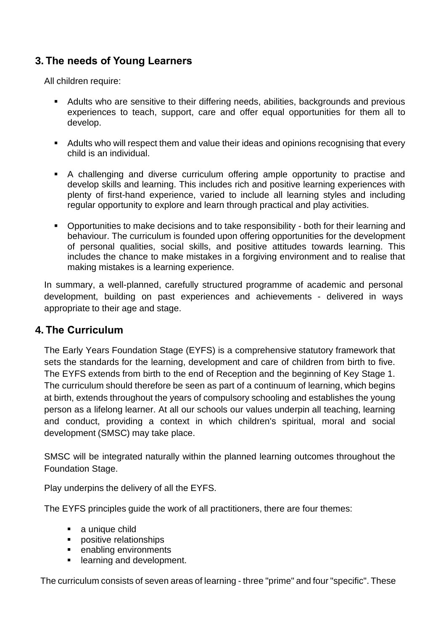# <span id="page-3-0"></span>**3. The needs of Young Learners**

All children require:

- Adults who are sensitive to their differing needs, abilities, backgrounds and previous experiences to teach, support, care and offer equal opportunities for them all to develop.
- Adults who will respect them and value their ideas and opinions recognising that every child is an individual.
- A challenging and diverse curriculum offering ample opportunity to practise and develop skills and learning. This includes rich and positive learning experiences with plenty of first-hand experience, varied to include all learning styles and including regular opportunity to explore and learn through practical and play activities.
- Opportunities to make decisions and to take responsibility both for their learning and behaviour. The curriculum is founded upon offering opportunities for the development of personal qualities, social skills, and positive attitudes towards learning. This includes the chance to make mistakes in a forgiving environment and to realise that making mistakes is a learning experience.

In summary, a well-planned, carefully structured programme of academic and personal development, building on past experiences and achievements - delivered in ways appropriate to their age and stage.

## <span id="page-3-1"></span>**4. The Curriculum**

The Early Years Foundation Stage (EYFS) is a comprehensive statutory framework that sets the standards for the learning, development and care of children from birth to five. The EYFS extends from birth to the end of Reception and the beginning of Key Stage 1. The curriculum should therefore be seen as part of a continuum of learning, which begins at birth, extends throughout the years of compulsory schooling and establishes the young person as a lifelong learner. At all our schools our values underpin all teaching, learning and conduct, providing a context in which children's spiritual, moral and social development (SMSC) may take place.

SMSC will be integrated naturally within the planned learning outcomes throughout the Foundation Stage.

Play underpins the delivery of all the EYFS.

The EYFS principles guide the work of all practitioners, there are four themes:

- a unique child
- positive relationships
- enabling environments
- learning and development.

The curriculum consists of seven areas of learning - three "prime" and four "specific". These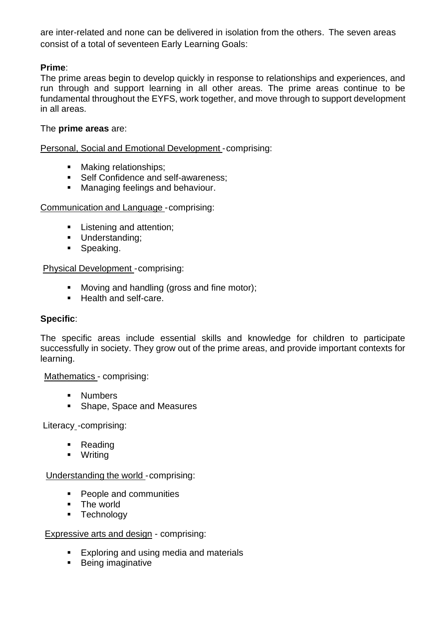are inter-related and none can be delivered in isolation from the others. The seven areas consist of a total of seventeen Early Learning Goals:

### **Prime**:

The prime areas begin to develop quickly in response to relationships and experiences, and run through and support learning in all other areas. The prime areas continue to be fundamental throughout the EYFS, work together, and move through to support development in all areas.

#### The **prime areas** are:

Personal, Social and Emotional Development -comprising:

- Making relationships;
- Self Confidence and self-awareness;
- Managing feelings and behaviour.

#### Communication and Language -comprising:

- **E** Listening and attention;
- **■** Understanding;
- **•** Speaking.

#### Physical Development -comprising:

- Moving and handling (gross and fine motor);
- Health and self-care.

#### **Specific**:

The specific areas include essential skills and knowledge for children to participate successfully in society. They grow out of the prime areas, and provide important contexts for learning.

#### Mathematics - comprising:

- Numbers
- Shape, Space and Measures

#### Literacy - comprising:

- Reading
- Writing

#### Understanding the world -comprising:

- People and communities
- The world
- **•** Technology

#### Expressive arts and design - comprising:

- Exploring and using media and materials
- Being imaginative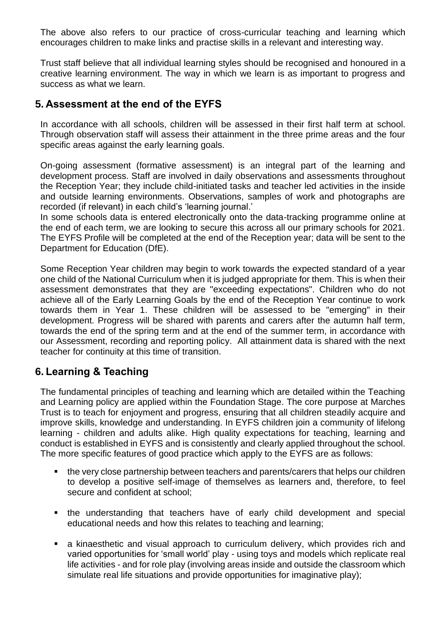The above also refers to our practice of cross-curricular teaching and learning which encourages children to make links and practise skills in a relevant and interesting way.

Trust staff believe that all individual learning styles should be recognised and honoured in a creative learning environment. The way in which we learn is as important to progress and success as what we learn.

## <span id="page-5-0"></span>**5. Assessment at the end of the EYFS**

In accordance with all schools, children will be assessed in their first half term at school. Through observation staff will assess their attainment in the three prime areas and the four specific areas against the early learning goals.

On-going assessment (formative assessment) is an integral part of the learning and development process. Staff are involved in daily observations and assessments throughout the Reception Year; they include child-initiated tasks and teacher led activities in the inside and outside learning environments. Observations, samples of work and photographs are recorded (if relevant) in each child's 'learning journal.'

In some schools data is entered electronically onto the data-tracking programme online at the end of each term, we are looking to secure this across all our primary schools for 2021. The EYFS Profile will be completed at the end of the Reception year; data will be sent to the Department for Education (DfE).

Some Reception Year children may begin to work towards the expected standard of a year one child of the National Curriculum when it is judged appropriate for them. This is when their assessment demonstrates that they are "exceeding expectations". Children who do not achieve all of the Early Learning Goals by the end of the Reception Year continue to work towards them in Year 1. These children will be assessed to be "emerging" in their development. Progress will be shared with parents and carers after the autumn half term, towards the end of the spring term and at the end of the summer term, in accordance with our Assessment, recording and reporting policy. All attainment data is shared with the next teacher for continuity at this time of transition.

## <span id="page-5-1"></span>**6. Learning & Teaching**

The fundamental principles of teaching and learning which are detailed within the Teaching and Learning policy are applied within the Foundation Stage. The core purpose at Marches Trust is to teach for enjoyment and progress, ensuring that all children steadily acquire and improve skills, knowledge and understanding. In EYFS children join a community of lifelong learning - children and adults alike. High quality expectations for teaching, learning and conduct is established in EYFS and is consistently and clearly applied throughout the school. The more specific features of good practice which apply to the EYFS are as follows:

- the very close partnership between teachers and parents/carers that helps our children to develop a positive self-image of themselves as learners and, therefore, to feel secure and confident at school;
- the understanding that teachers have of early child development and special educational needs and how this relates to teaching and learning;
- a kinaesthetic and visual approach to curriculum delivery, which provides rich and varied opportunities for 'small world' play - using toys and models which replicate real life activities - and for role play (involving areas inside and outside the classroom which simulate real life situations and provide opportunities for imaginative play);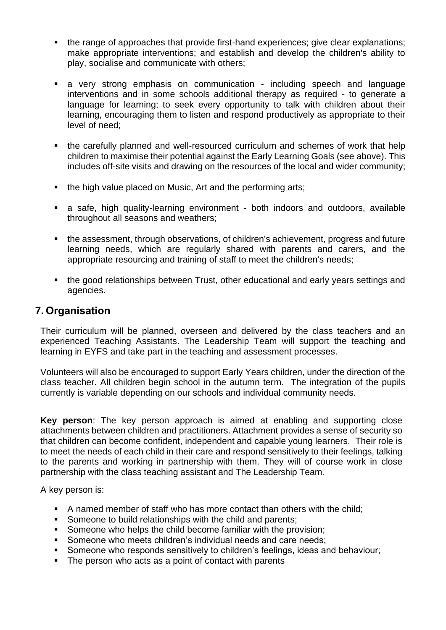- the range of approaches that provide first-hand experiences; give clear explanations; make appropriate interventions; and establish and develop the children's ability to play, socialise and communicate with others;
- a very strong emphasis on communication including speech and language interventions and in some schools additional therapy as required - to generate a language for learning; to seek every opportunity to talk with children about their learning, encouraging them to listen and respond productively as appropriate to their level of need;
- the carefully planned and well-resourced curriculum and schemes of work that help children to maximise their potential against the Early Learning Goals (see above). This includes off-site visits and drawing on the resources of the local and wider community;
- the high value placed on Music, Art and the performing arts;
- a safe, high quality-learning environment both indoors and outdoors, available throughout all seasons and weathers;
- the assessment, through observations, of children's achievement, progress and future learning needs, which are regularly shared with parents and carers, and the appropriate resourcing and training of staff to meet the children's needs;
- the good relationships between Trust, other educational and early years settings and agencies.

## <span id="page-6-0"></span>**7. Organisation**

Their curriculum will be planned, overseen and delivered by the class teachers and an experienced Teaching Assistants. The Leadership Team will support the teaching and learning in EYFS and take part in the teaching and assessment processes.

Volunteers will also be encouraged to support Early Years children, under the direction of the class teacher. All children begin school in the autumn term. The integration of the pupils currently is variable depending on our schools and individual community needs.

**Key person**: The key person approach is aimed at enabling and supporting close attachments between children and practitioners. Attachment provides a sense of security so that children can become confident, independent and capable young learners. Their role is to meet the needs of each child in their care and respond sensitively to their feelings, talking to the parents and working in partnership with them. They will of course work in close partnership with the class teaching assistant and The Leadership Team.

A key person is:

- A named member of staff who has more contact than others with the child;
- Someone to build relationships with the child and parents;
- Someone who helps the child become familiar with the provision;
- Someone who meets children's individual needs and care needs;
- Someone who responds sensitively to children's feelings, ideas and behaviour;
- The person who acts as a point of contact with parents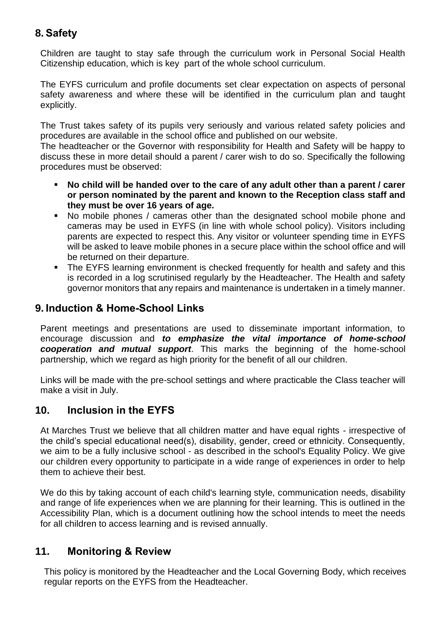# <span id="page-7-0"></span>**8. Safety**

Children are taught to stay safe through the curriculum work in Personal Social Health Citizenship education, which is key part of the whole school curriculum.

The EYFS curriculum and profile documents set clear expectation on aspects of personal safety awareness and where these will be identified in the curriculum plan and taught explicitly.

The Trust takes safety of its pupils very seriously and various related safety policies and procedures are available in the school office and published on our website.

The headteacher or the Governor with responsibility for Health and Safety will be happy to discuss these in more detail should a parent / carer wish to do so. Specifically the following procedures must be observed:

- No child will be handed over to the care of any adult other than a parent / carer **or person nominated by the parent and known to the Reception class staff and they must be over 16 years of age.**
- No mobile phones / cameras other than the designated school mobile phone and cameras may be used in EYFS (in line with whole school policy). Visitors including parents are expected to respect this. Any visitor or volunteer spending time in EYFS will be asked to leave mobile phones in a secure place within the school office and will be returned on their departure.
- The EYFS learning environment is checked frequently for health and safety and this is recorded in a log scrutinised regularly by the Headteacher. The Health and safety governor monitors that any repairs and maintenance is undertaken in a timely manner.

## <span id="page-7-1"></span>**9. Induction & Home-School Links**

Parent meetings and presentations are used to disseminate important information, to encourage discussion and *to emphasize the vital importance of home-school cooperation and mutual support*. This marks the beginning of the home-school partnership, which we regard as high priority for the benefit of all our children.

Links will be made with the pre-school settings and where practicable the Class teacher will make a visit in July.

## <span id="page-7-2"></span>**10. Inclusion in the EYFS**

At Marches Trust we believe that all children matter and have equal rights - irrespective of the child's special educational need(s), disability, gender, creed or ethnicity. Consequently, we aim to be a fully inclusive school - as described in the school's Equality Policy. We give our children every opportunity to participate in a wide range of experiences in order to help them to achieve their best.

We do this by taking account of each child's learning style, communication needs, disability and range of life experiences when we are planning for their learning. This is outlined in the Accessibility Plan, which is a document outlining how the school intends to meet the needs for all children to access learning and is revised annually.

## <span id="page-7-3"></span>**11. Monitoring & Review**

This policy is monitored by the Headteacher and the Local Governing Body, which receives regular reports on the EYFS from the Headteacher.